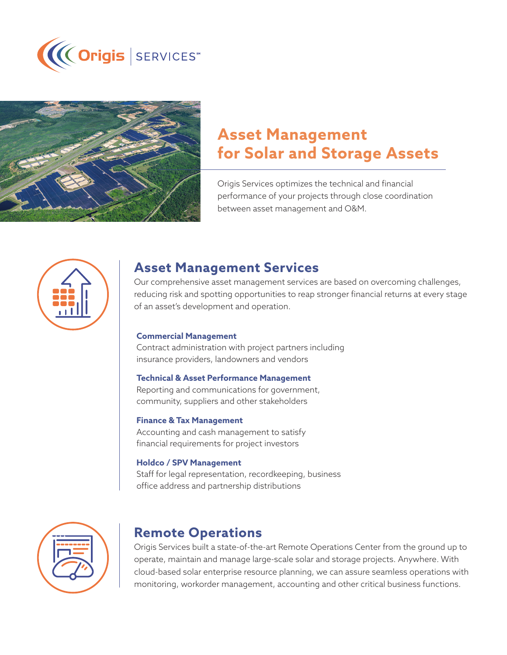



# **Asset Management for Solar and Storage Assets**

Origis Services optimizes the technical and financial performance of your projects through close coordination between asset management and O&M.



# **Asset Management Services**

Our comprehensive asset management services are based on overcoming challenges, reducing risk and spotting opportunities to reap stronger financial returns at every stage of an asset's development and operation.

### **Commercial Management**

Contract administration with project partners including insurance providers, landowners and vendors

### **Technical & Asset Performance Management**

Reporting and communications for government, community, suppliers and other stakeholders

### **Finance & Tax Management**

Accounting and cash management to satisfy financial requirements for project investors

### **Holdco / SPV Management**

Staff for legal representation, recordkeeping, business office address and partnership distributions



# **Remote Operations**

Origis Services built a state-of-the-art Remote Operations Center from the ground up to operate, maintain and manage large-scale solar and storage projects. Anywhere. With cloud-based solar enterprise resource planning, we can assure seamless operations with monitoring, workorder management, accounting and other critical business functions.